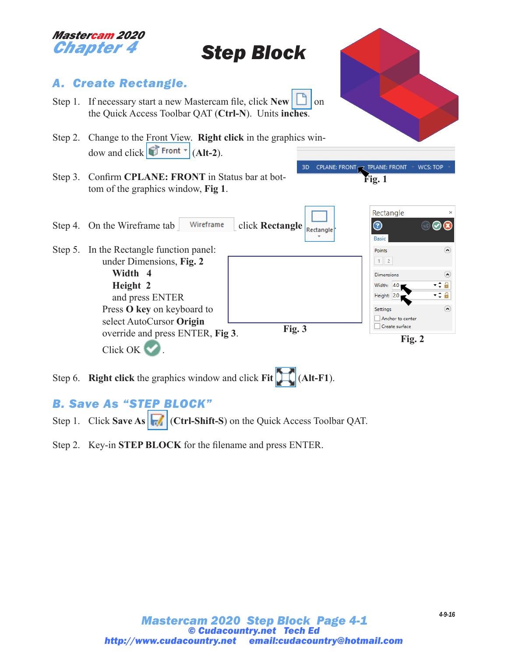

# *Step Block*

3D

# *A. Create Rectangle.*

- Step 1. If necessary start a new Mastercam file, click  $\text{New}$   $\Box$  on the Quick Access Toolbar QAT (**Ctrl-N**). Units **inches**.
- Step 2. Change to the Front View. **Right click** in the graphics window and click  $\mathbf{F}$  Front  $\mathbf{F}$  (Alt-2).
- Step 3. Confirm **CPLANE: FRONT** in Status bar at bottom of the graphics window, **Fig 1**.

Step 4. On the Wireframe tab  $\int$  Wireframe click **Rectangle**  $R_{\text{tetangle}}$ 

Step 5. In the Rectangle function panel: under Dimensions, **Fig. 2 Width 4 Height 2** and press ENTER Press **O key** on keyboard to select AutoCursor **Origin**





Step 6. **Right click** the graphics window and click **Fit** (**Alt-F1**).

# *B. Save As "STEP BLOCK"*

- Step 1. Click **Save As**  $\|\cdot\|$  (Ctrl-Shift-S) on the Quick Access Toolbar QAT.
- Step 2. Key-in **STEP BLOCK** for the filename and press ENTER.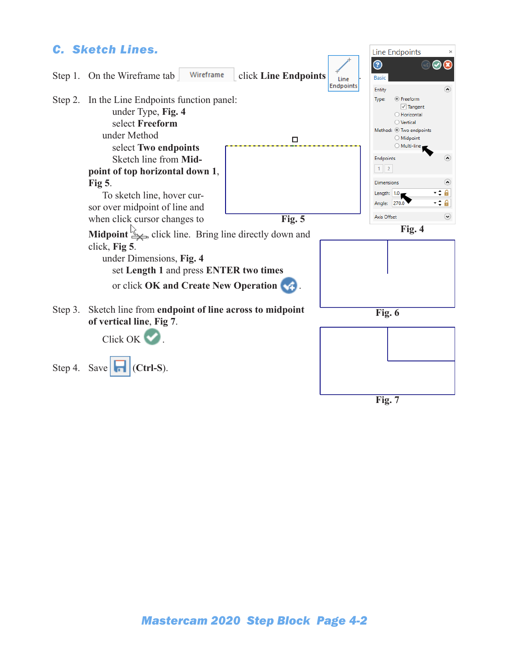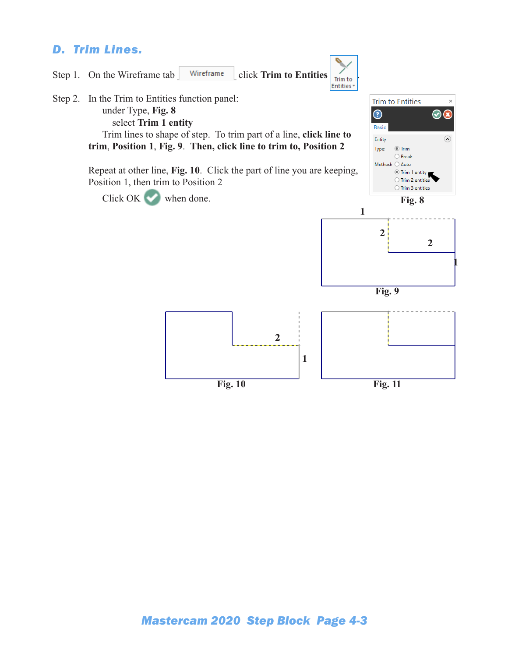# *D. Trim Lines.*

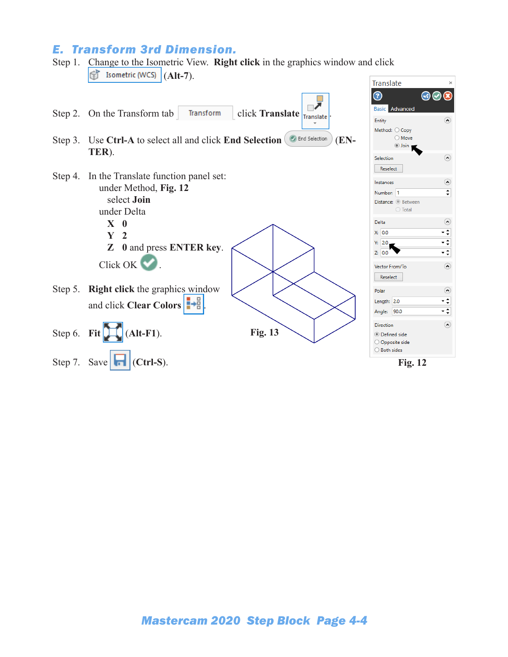# *E. Transform 3rd Dimension.*

#### Step 1. Change to the Isometric View. **Right click** in the graphics window and click (**Alt-7**). Ħ

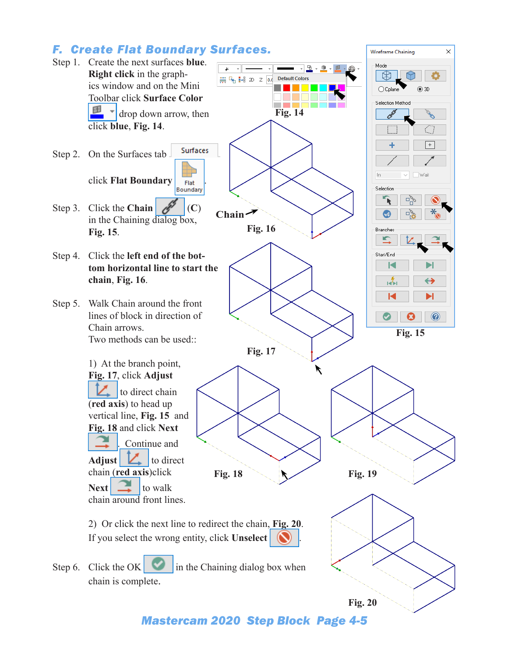# *F. Create Flat Boundary Surfaces.*



*Mastercam 2020 Step Block Page 4-5*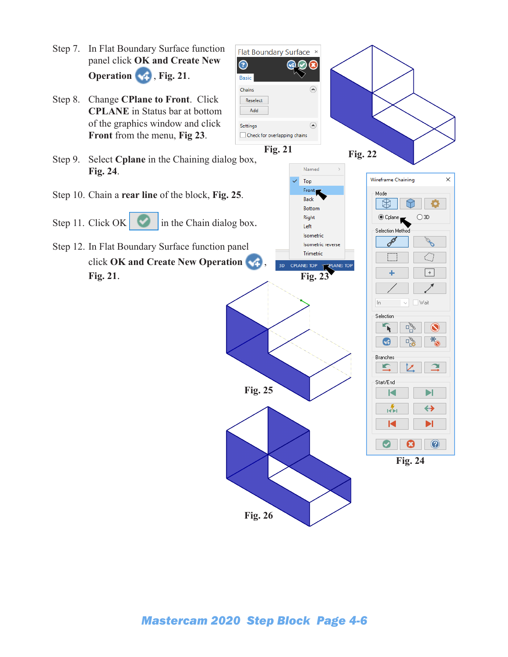

### *Mastercam 2020 Step Block Page 4-6*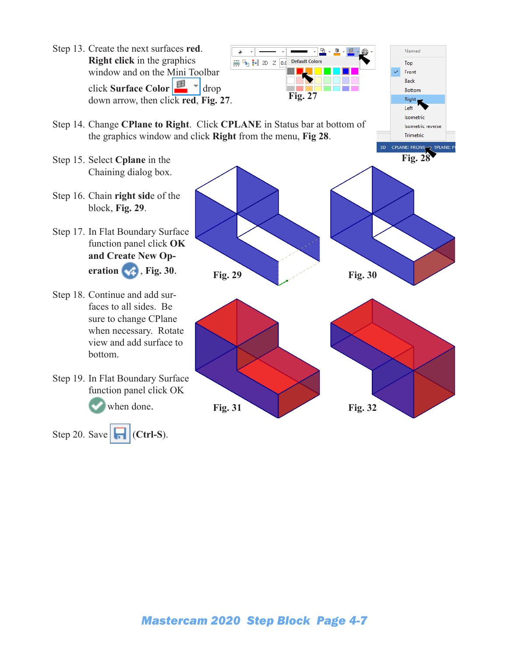